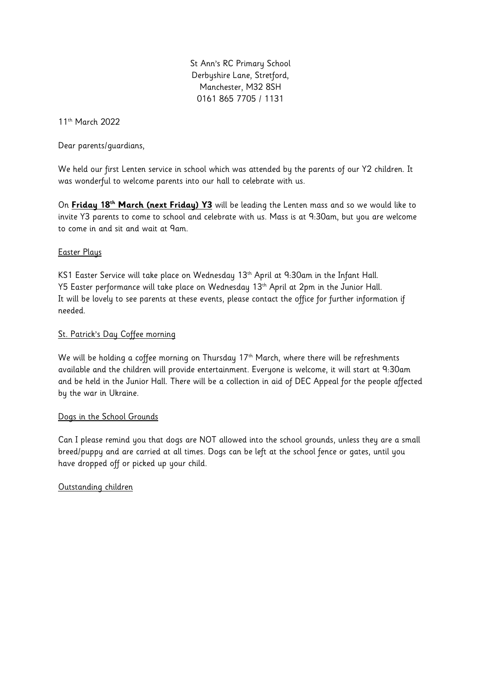St Ann's RC Primary School Derbyshire Lane, Stretford, Manchester, M32 8SH 0161 865 7705 / 1131

11th March 2022

Dear parents/guardians,

We held our first Lenten service in school which was attended by the parents of our Y2 children. It was wonderful to welcome parents into our hall to celebrate with us.

On **Friday 18th March (next Friday) Y3** will be leading the Lenten mass and so we would like to invite Y3 parents to come to school and celebrate with us. Mass is at 9:30am, but you are welcome to come in and sit and wait at 9am.

### Easter Plays

KS1 Easter Service will take place on Wednesday 13<sup>th</sup> April at 9:30am in the Infant Hall. Y5 Easter performance will take place on Wednesday 13<sup>th</sup> April at 2pm in the Junior Hall. It will be lovely to see parents at these events, please contact the office for further information if needed.

## St. Patrick's Day Coffee morning

We will be holding a coffee morning on Thursday  $17<sup>th</sup>$  March, where there will be refreshments available and the children will provide entertainment. Everyone is welcome, it will start at 9:30am and be held in the Junior Hall. There will be a collection in aid of DEC Appeal for the people affected by the war in Ukraine.

### Dogs in the School Grounds

Can I please remind you that dogs are NOT allowed into the school grounds, unless they are a small breed/puppy and are carried at all times. Dogs can be left at the school fence or gates, until you have dropped off or picked up your child.

# Outstanding children